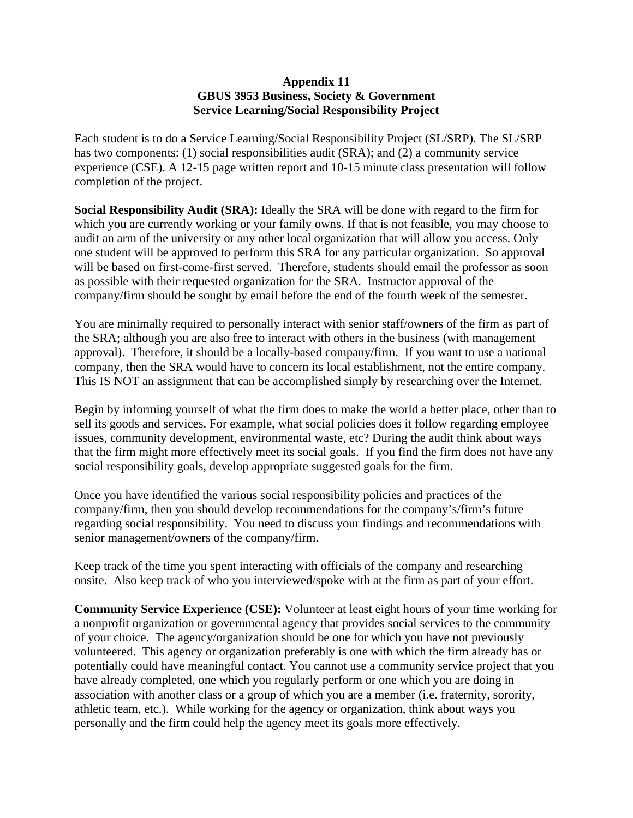## **Appendix 11 GBUS 3953 Business, Society & Government Service Learning/Social Responsibility Project**

Each student is to do a Service Learning/Social Responsibility Project (SL/SRP). The SL/SRP has two components: (1) social responsibilities audit (SRA); and (2) a community service experience (CSE). A 12-15 page written report and 10-15 minute class presentation will follow completion of the project.

**Social Responsibility Audit (SRA):** Ideally the SRA will be done with regard to the firm for which you are currently working or your family owns. If that is not feasible, you may choose to audit an arm of the university or any other local organization that will allow you access. Only one student will be approved to perform this SRA for any particular organization. So approval will be based on first-come-first served. Therefore, students should email the professor as soon as possible with their requested organization for the SRA. Instructor approval of the company/firm should be sought by email before the end of the fourth week of the semester.

You are minimally required to personally interact with senior staff/owners of the firm as part of the SRA; although you are also free to interact with others in the business (with management approval). Therefore, it should be a locally-based company/firm. If you want to use a national company, then the SRA would have to concern its local establishment, not the entire company. This IS NOT an assignment that can be accomplished simply by researching over the Internet.

Begin by informing yourself of what the firm does to make the world a better place, other than to sell its goods and services. For example, what social policies does it follow regarding employee issues, community development, environmental waste, etc? During the audit think about ways that the firm might more effectively meet its social goals. If you find the firm does not have any social responsibility goals, develop appropriate suggested goals for the firm.

Once you have identified the various social responsibility policies and practices of the company/firm, then you should develop recommendations for the company's/firm's future regarding social responsibility. You need to discuss your findings and recommendations with senior management/owners of the company/firm.

Keep track of the time you spent interacting with officials of the company and researching onsite. Also keep track of who you interviewed/spoke with at the firm as part of your effort.

**Community Service Experience (CSE):** Volunteer at least eight hours of your time working for a nonprofit organization or governmental agency that provides social services to the community of your choice. The agency/organization should be one for which you have not previously volunteered. This agency or organization preferably is one with which the firm already has or potentially could have meaningful contact. You cannot use a community service project that you have already completed, one which you regularly perform or one which you are doing in association with another class or a group of which you are a member (i.e. fraternity, sorority, athletic team, etc.). While working for the agency or organization, think about ways you personally and the firm could help the agency meet its goals more effectively.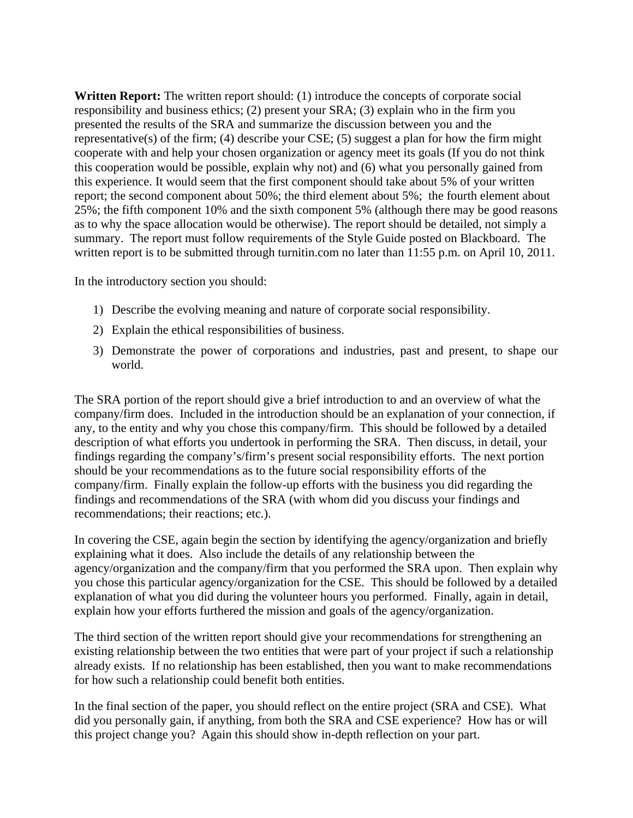**Written Report:** The written report should: (1) introduce the concepts of corporate social responsibility and business ethics; (2) present your SRA; (3) explain who in the firm you presented the results of the SRA and summarize the discussion between you and the representative(s) of the firm; (4) describe your CSE; (5) suggest a plan for how the firm might cooperate with and help your chosen organization or agency meet its goals (If you do not think this cooperation would be possible, explain why not) and (6) what you personally gained from this experience. It would seem that the first component should take about 5% of your written report; the second component about 50%; the third element about 5%; the fourth element about 25%; the fifth component 10% and the sixth component 5% (although there may be good reasons as to why the space allocation would be otherwise). The report should be detailed, not simply a summary. The report must follow requirements of the Style Guide posted on Blackboard. The written report is to be submitted through turnitin.com no later than 11:55 p.m. on April 10, 2011.

In the introductory section you should:

- 1) Describe the evolving meaning and nature of corporate social responsibility.
- 2) Explain the ethical responsibilities of business.
- 3) Demonstrate the power of corporations and industries, past and present, to shape our world.

The SRA portion of the report should give a brief introduction to and an overview of what the company/firm does. Included in the introduction should be an explanation of your connection, if any, to the entity and why you chose this company/firm. This should be followed by a detailed description of what efforts you undertook in performing the SRA. Then discuss, in detail, your findings regarding the company's/firm's present social responsibility efforts. The next portion should be your recommendations as to the future social responsibility efforts of the company/firm. Finally explain the follow-up efforts with the business you did regarding the findings and recommendations of the SRA (with whom did you discuss your findings and recommendations; their reactions; etc.).

In covering the CSE, again begin the section by identifying the agency/organization and briefly explaining what it does. Also include the details of any relationship between the agency/organization and the company/firm that you performed the SRA upon. Then explain why you chose this particular agency/organization for the CSE. This should be followed by a detailed explanation of what you did during the volunteer hours you performed. Finally, again in detail, explain how your efforts furthered the mission and goals of the agency/organization.

The third section of the written report should give your recommendations for strengthening an existing relationship between the two entities that were part of your project if such a relationship already exists. If no relationship has been established, then you want to make recommendations for how such a relationship could benefit both entities.

In the final section of the paper, you should reflect on the entire project (SRA and CSE). What did you personally gain, if anything, from both the SRA and CSE experience? How has or will this project change you? Again this should show in-depth reflection on your part.